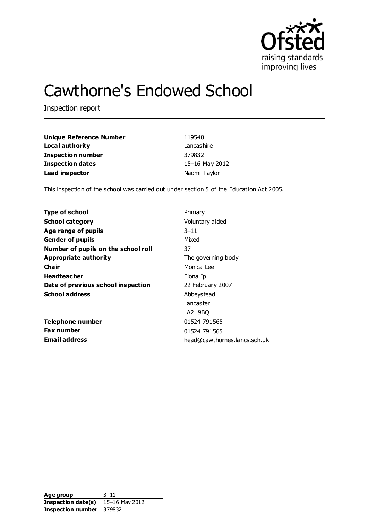

# Cawthorne's Endowed School

Inspection report

| Unique Reference Number | 119540         |
|-------------------------|----------------|
| Local authority         | Lancashire     |
| Inspection number       | 379832         |
| <b>Inspection dates</b> | 15-16 May 2012 |
| Lead inspector          | Naomi Taylor   |

This inspection of the school was carried out under section 5 of the Education Act 2005.

| Type of school                      | Primary                      |
|-------------------------------------|------------------------------|
| <b>School category</b>              | Voluntary aided              |
| Age range of pupils                 | $3 - 11$                     |
| <b>Gender of pupils</b>             | Mixed                        |
| Number of pupils on the school roll | 37                           |
| Appropriate authority               | The governing body           |
| Cha ir                              | Monica Lee                   |
| <b>Headteacher</b>                  | Fiona Ip                     |
| Date of previous school inspection  | 22 February 2007             |
| <b>School address</b>               | Abbeystead                   |
|                                     | Lancaster                    |
|                                     | LA2 9BQ                      |
| Telephone number                    | 01524 791565                 |
| <b>Fax number</b>                   | 01524 791565                 |
| <b>Email address</b>                | head@cawthornes.lancs.sch.uk |

Age group 3-11 **Inspection date(s)** 15–16 May 2012 **Inspection number** 379832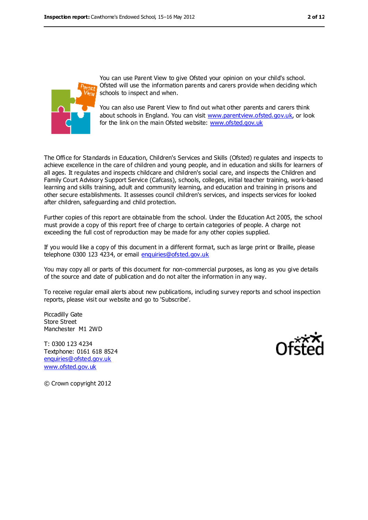

You can use Parent View to give Ofsted your opinion on your child's school. Ofsted will use the information parents and carers provide when deciding which schools to inspect and when.

You can also use Parent View to find out what other parents and carers think about schools in England. You can visit [www.parentview.ofsted.gov.uk,](../../../AppData/Local/Microsoft/Windows/AppData/Local/Microsoft/Windows/AppData/Local/Microsoft/Windows/Temporary%20Internet%20Files/Content.IE5/FEBCU1GJ/www.parentview.ofsted.gov.uk) or look for the link on the main Ofsted website: [www.ofsted.gov.uk](../../../AppData/Local/Microsoft/Windows/AppData/Local/Microsoft/Windows/AppData/Local/Microsoft/Windows/Temporary%20Internet%20Files/Content.IE5/FEBCU1GJ/www.ofsted.gov.uk)

The Office for Standards in Education, Children's Services and Skills (Ofsted) re gulates and inspects to achieve excellence in the care of children and young people, and in education and skills for learners of all ages. It regulates and inspects childcare and children's social care, and inspects the Children and Family Court Advisory Support Service (Cafcass), schools, colleges, initial teacher training, work-based learning and skills training, adult and community learning, and education and training in prisons and other secure establishments. It assesses council children's services, and inspects services for looked after children, safeguarding and child protection.

Further copies of this report are obtainable from the school. Under the Education Act 2005, the school must provide a copy of this report free of charge to certain categories of people. A charge not exceeding the full cost of reproduction may be made for any other copies supplied.

If you would like a copy of this document in a different format, such as large print or Braille, please telephone 0300 123 4234, or email [enquiries@ofsted.gov.uk](mailto:enquiries@ofsted.gov.uk)

You may copy all or parts of this document for non-commercial purposes, as long as you give details of the source and date of publication and do not alter the information in any way.

To receive regular email alerts about new publications, including survey reports and school inspection reports, please visit our website and go to 'Subscribe'.

Piccadilly Gate Store Street Manchester M1 2WD

T: 0300 123 4234 Textphone: 0161 618 8524 [enquiries@ofsted.gov.uk](mailto:enquiries@ofsted.gov.uk) [www.ofsted.gov.uk](http://www.ofsted.gov.uk/)



© Crown copyright 2012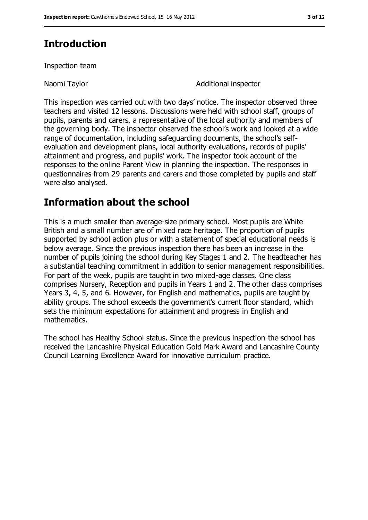# **Introduction**

Inspection team

Naomi Taylor **National inspector** Additional inspector

This inspection was carried out with two days' notice. The inspector observed three teachers and visited 12 lessons. Discussions were held with school staff, groups of pupils, parents and carers, a representative of the local authority and members of the governing body. The inspector observed the school's work and looked at a wide range of documentation, including safeguarding documents, the school's selfevaluation and development plans, local authority evaluations, records of pupils' attainment and progress, and pupils' work. The inspector took account of the responses to the online Parent View in planning the inspection. The responses in questionnaires from 29 parents and carers and those completed by pupils and staff were also analysed.

# **Information about the school**

This is a much smaller than average-size primary school. Most pupils are White British and a small number are of mixed race heritage. The proportion of pupils supported by school action plus or with a statement of special educational needs is below average. Since the previous inspection there has been an increase in the number of pupils joining the school during Key Stages 1 and 2. The headteacher has a substantial teaching commitment in addition to senior management responsibilities. For part of the week, pupils are taught in two mixed-age classes. One class comprises Nursery, Reception and pupils in Years 1 and 2. The other class comprises Years 3, 4, 5, and 6. However, for English and mathematics, pupils are taught by ability groups. The school exceeds the government's current floor standard, which sets the minimum expectations for attainment and progress in English and mathematics.

The school has Healthy School status. Since the previous inspection the school has received the Lancashire Physical Education Gold Mark Award and Lancashire County Council Learning Excellence Award for innovative curriculum practice.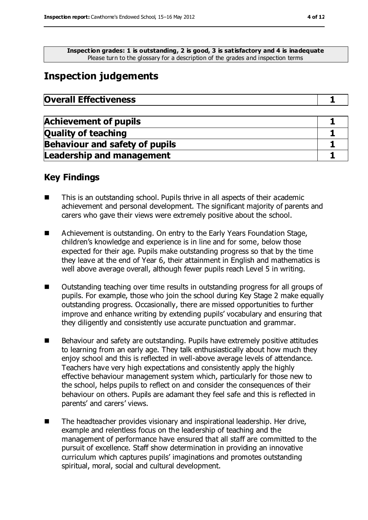**Inspection grades: 1 is outstanding, 2 is good, 3 is satisfactory and 4 is inadequate**

Please turn to the glossary for a description of the grades and inspection terms

## **Inspection judgements**

| <b>Overall Effectiveness</b> |  |
|------------------------------|--|
|------------------------------|--|

| <b>Achievement of pupils</b>          |  |
|---------------------------------------|--|
| <b>Quality of teaching</b>            |  |
| <b>Behaviour and safety of pupils</b> |  |
| <b>Leadership and management</b>      |  |

#### **Key Findings**

- This is an outstanding school. Pupils thrive in all aspects of their academic achievement and personal development. The significant majority of parents and carers who gave their views were extremely positive about the school.
- Achievement is outstanding. On entry to the Early Years Foundation Stage, children's knowledge and experience is in line and for some, below those expected for their age. Pupils make outstanding progress so that by the time they leave at the end of Year 6, their attainment in English and mathematics is well above average overall, although fewer pupils reach Level 5 in writing.
- Outstanding teaching over time results in outstanding progress for all groups of pupils. For example, those who join the school during Key Stage 2 make equally outstanding progress. Occasionally, there are missed opportunities to further improve and enhance writing by extending pupils' vocabulary and ensuring that they diligently and consistently use accurate punctuation and grammar.
- Behaviour and safety are outstanding. Pupils have extremely positive attitudes to learning from an early age. They talk enthusiastically about how much they enjoy school and this is reflected in well-above average levels of attendance. Teachers have very high expectations and consistently apply the highly effective behaviour management system which, particularly for those new to the school, helps pupils to reflect on and consider the consequences of their behaviour on others. Pupils are adamant they feel safe and this is reflected in parents' and carers' views.
- The headteacher provides visionary and inspirational leadership. Her drive, example and relentless focus on the leadership of teaching and the management of performance have ensured that all staff are committed to the pursuit of excellence. Staff show determination in providing an innovative curriculum which captures pupils' imaginations and promotes outstanding spiritual, moral, social and cultural development.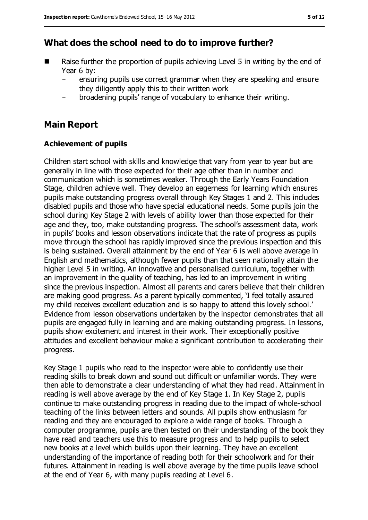### **What does the school need to do to improve further?**

- $\blacksquare$  Raise further the proportion of pupils achieving Level 5 in writing by the end of Year 6 by:
	- ensuring pupils use correct grammar when they are speaking and ensure they diligently apply this to their written work
	- broadening pupils' range of vocabulary to enhance their writing.

### **Main Report**

#### **Achievement of pupils**

Children start school with skills and knowledge that vary from year to year but are generally in line with those expected for their age other than in number and communication which is sometimes weaker. Through the Early Years Foundation Stage, children achieve well. They develop an eagerness for learning which ensures pupils make outstanding progress overall through Key Stages 1 and 2. This includes disabled pupils and those who have special educational needs. Some pupils join the school during Key Stage 2 with levels of ability lower than those expected for their age and they, too, make outstanding progress. The school's assessment data, work in pupils' books and lesson observations indicate that the rate of progress as pupils move through the school has rapidly improved since the previous inspection and this is being sustained. Overall attainment by the end of Year 6 is well above average in English and mathematics, although fewer pupils than that seen nationally attain the higher Level 5 in writing. An innovative and personalised curriculum, together with an improvement in the quality of teaching, has led to an improvement in writing since the previous inspection. Almost all parents and carers believe that their children are making good progress. As a parent typically commented, 'I feel totally assured my child receives excellent education and is so happy to attend this lovely school.' Evidence from lesson observations undertaken by the inspector demonstrates that all pupils are engaged fully in learning and are making outstanding progress. In lessons, pupils show excitement and interest in their work. Their exceptionally positive attitudes and excellent behaviour make a significant contribution to accelerating their progress.

Key Stage 1 pupils who read to the inspector were able to confidently use their reading skills to break down and sound out difficult or unfamiliar words. They were then able to demonstrate a clear understanding of what they had read. Attainment in reading is well above average by the end of Key Stage 1. In Key Stage 2, pupils continue to make outstanding progress in reading due to the impact of whole-school teaching of the links between letters and sounds. All pupils show enthusiasm for reading and they are encouraged to explore a wide range of books. Through a computer programme, pupils are then tested on their understanding of the book they have read and teachers use this to measure progress and to help pupils to select new books at a level which builds upon their learning. They have an excellent understanding of the importance of reading both for their schoolwork and for their futures. Attainment in reading is well above average by the time pupils leave school at the end of Year 6, with many pupils reading at Level 6.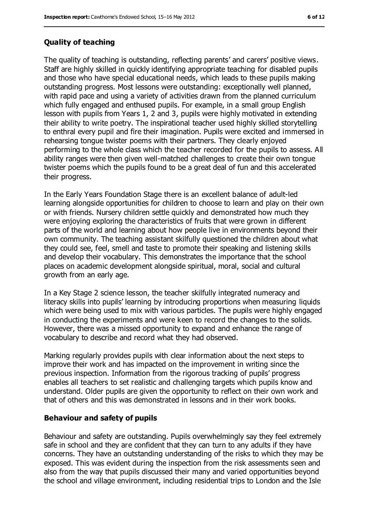#### **Quality of teaching**

The quality of teaching is outstanding, reflecting parents' and carers' positive views. Staff are highly skilled in quickly identifying appropriate teaching for disabled pupils and those who have special educational needs, which leads to these pupils making outstanding progress. Most lessons were outstanding: exceptionally well planned, with rapid pace and using a variety of activities drawn from the planned curriculum which fully engaged and enthused pupils. For example, in a small group English lesson with pupils from Years 1, 2 and 3, pupils were highly motivated in extending their ability to write poetry. The inspirational teacher used highly skilled storytelling to enthral every pupil and fire their imagination. Pupils were excited and immersed in rehearsing tongue twister poems with their partners. They clearly enjoyed performing to the whole class which the teacher recorded for the pupils to assess. All ability ranges were then given well-matched challenges to create their own tongue twister poems which the pupils found to be a great deal of fun and this accelerated their progress.

In the Early Years Foundation Stage there is an excellent balance of adult-led learning alongside opportunities for children to choose to learn and play on their own or with friends. Nursery children settle quickly and demonstrated how much they were enjoying exploring the characteristics of fruits that were grown in different parts of the world and learning about how people live in environments beyond their own community. The teaching assistant skilfully questioned the children about what they could see, feel, smell and taste to promote their speaking and listening skills and develop their vocabulary. This demonstrates the importance that the school places on academic development alongside spiritual, moral, social and cultural growth from an early age.

In a Key Stage 2 science lesson, the teacher skilfully integrated numeracy and literacy skills into pupils' learning by introducing proportions when measuring liquids which were being used to mix with various particles. The pupils were highly engaged in conducting the experiments and were keen to record the changes to the solids. However, there was a missed opportunity to expand and enhance the range of vocabulary to describe and record what they had observed.

Marking regularly provides pupils with clear information about the next steps to improve their work and has impacted on the improvement in writing since the previous inspection. Information from the rigorous tracking of pupils' progress enables all teachers to set realistic and challenging targets which pupils know and understand. Older pupils are given the opportunity to reflect on their own work and that of others and this was demonstrated in lessons and in their work books.

#### **Behaviour and safety of pupils**

Behaviour and safety are outstanding. Pupils overwhelmingly say they feel extremely safe in school and they are confident that they can turn to any adults if they have concerns. They have an outstanding understanding of the risks to which they may be exposed. This was evident during the inspection from the risk assessments seen and also from the way that pupils discussed their many and varied opportunities beyond the school and village environment, including residential trips to London and the Isle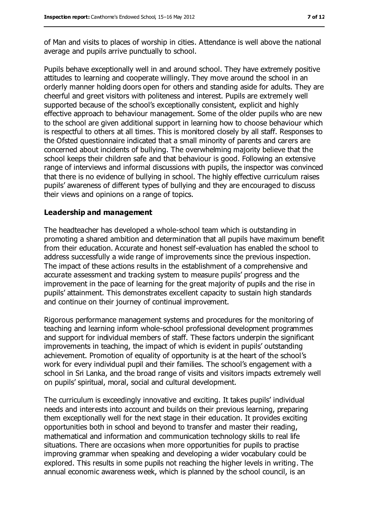of Man and visits to places of worship in cities. Attendance is well above the national average and pupils arrive punctually to school.

Pupils behave exceptionally well in and around school. They have extremely positive attitudes to learning and cooperate willingly. They move around the school in an orderly manner holding doors open for others and standing aside for adults. They are cheerful and greet visitors with politeness and interest. Pupils are extremely well supported because of the school's exceptionally consistent, explicit and highly effective approach to behaviour management. Some of the older pupils who are new to the school are given additional support in learning how to choose behaviour which is respectful to others at all times. This is monitored closely by all staff. Responses to the Ofsted questionnaire indicated that a small minority of parents and carers are concerned about incidents of bullying. The overwhelming majority believe that the school keeps their children safe and that behaviour is good. Following an extensive range of interviews and informal discussions with pupils, the inspector was convinced that there is no evidence of bullying in school. The highly effective curriculum raises pupils' awareness of different types of bullying and they are encouraged to discuss their views and opinions on a range of topics.

#### **Leadership and management**

The headteacher has developed a whole-school team which is outstanding in promoting a shared ambition and determination that all pupils have maximum benefit from their education. Accurate and honest self-evaluation has enabled the school to address successfully a wide range of improvements since the previous inspection. The impact of these actions results in the establishment of a comprehensive and accurate assessment and tracking system to measure pupils' progress and the improvement in the pace of learning for the great majority of pupils and the rise in pupils' attainment. This demonstrates excellent capacity to sustain high standards and continue on their journey of continual improvement.

Rigorous performance management systems and procedures for the monitoring of teaching and learning inform whole-school professional development programmes and support for individual members of staff. These factors underpin the significant improvements in teaching, the impact of which is evident in pupils' outstanding achievement. Promotion of equality of opportunity is at the heart of the school's work for every individual pupil and their families. The school's engagement with a school in Sri Lanka, and the broad range of visits and visitors impacts extremely well on pupils' spiritual, moral, social and cultural development.

The curriculum is exceedingly innovative and exciting. It takes pupils' individual needs and interests into account and builds on their previous learning, preparing them exceptionally well for the next stage in their education. It provides exciting opportunities both in school and beyond to transfer and master their reading, mathematical and information and communication technology skills to real life situations. There are occasions when more opportunities for pupils to practise improving grammar when speaking and developing a wider vocabulary could be explored. This results in some pupils not reaching the higher levels in writing. The annual economic awareness week, which is planned by the school council, is an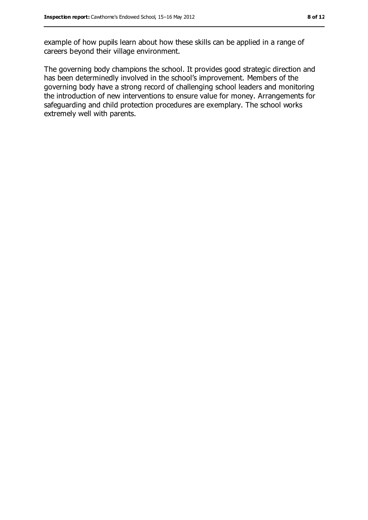example of how pupils learn about how these skills can be applied in a range of careers beyond their village environment.

The governing body champions the school. It provides good strategic direction and has been determinedly involved in the school's improvement. Members of the governing body have a strong record of challenging school leaders and monitoring the introduction of new interventions to ensure value for money. Arrangements for safeguarding and child protection procedures are exemplary. The school works extremely well with parents.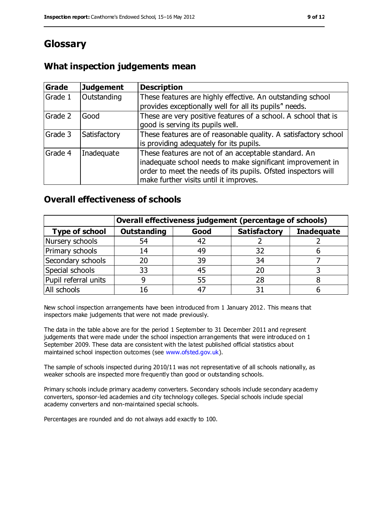# **Glossary**

### **What inspection judgements mean**

| Grade   | <b>Judgement</b> | <b>Description</b>                                                                                                                                                                                                            |
|---------|------------------|-------------------------------------------------------------------------------------------------------------------------------------------------------------------------------------------------------------------------------|
| Grade 1 | Outstanding      | These features are highly effective. An outstanding school<br>provides exceptionally well for all its pupils" needs.                                                                                                          |
| Grade 2 | Good             | These are very positive features of a school. A school that is<br>good is serving its pupils well.                                                                                                                            |
| Grade 3 | Satisfactory     | These features are of reasonable quality. A satisfactory school<br>is providing adequately for its pupils.                                                                                                                    |
| Grade 4 | Inadequate       | These features are not of an acceptable standard. An<br>inadequate school needs to make significant improvement in<br>order to meet the needs of its pupils. Ofsted inspectors will<br>make further visits until it improves. |

### **Overall effectiveness of schools**

|                       | Overall effectiveness judgement (percentage of schools) |      |                     |                   |
|-----------------------|---------------------------------------------------------|------|---------------------|-------------------|
| <b>Type of school</b> | <b>Outstanding</b>                                      | Good | <b>Satisfactory</b> | <b>Inadequate</b> |
| Nursery schools       | 54                                                      | 42   |                     |                   |
| Primary schools       | 14                                                      | 49   | 32                  |                   |
| Secondary schools     | 20                                                      | 39   | 34                  |                   |
| Special schools       | 33                                                      | 45   |                     |                   |
| Pupil referral units  | 9                                                       | 55   | 28                  |                   |
| All schools           | 16                                                      | -47  |                     |                   |

New school inspection arrangements have been introduced from 1 January 2012. This means that inspectors make judgements that were not made previously.

The data in the table above are for the period 1 September to 31 December 2011 and represent judgements that were made under the school inspection arrangements that were introduced on 1 September 2009. These data are consistent with the latest published official statistics about maintained school inspection outcomes (see [www.ofsted.gov.uk\)](../../../AppData/Local/Microsoft/Windows/AppData/Local/Microsoft/Windows/AppData/Local/Microsoft/Windows/Temporary%20Internet%20Files/Content.IE5/FEBCU1GJ/www.ofsted.gov.uk).

The sample of schools inspected during 2010/11 was not representative of all schools nationally, as weaker schools are inspected more frequently than good or outstanding schools.

Primary schools include primary academy converters. Secondary schools include secondary academy converters, sponsor-led academies and city technology colleges. Special schools include special academy converters and non-maintained special schools.

Percentages are rounded and do not always add exactly to 100.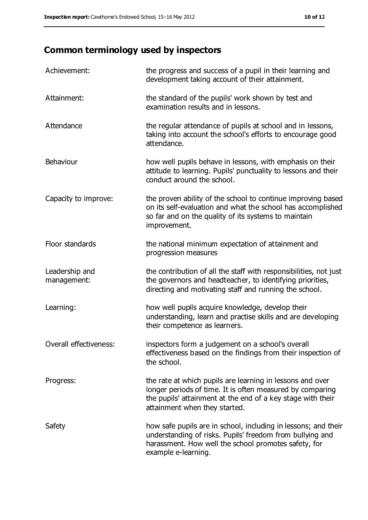# **Common terminology used by inspectors**

| Achievement:                  | the progress and success of a pupil in their learning and<br>development taking account of their attainment.                                                                                                           |
|-------------------------------|------------------------------------------------------------------------------------------------------------------------------------------------------------------------------------------------------------------------|
| Attainment:                   | the standard of the pupils' work shown by test and<br>examination results and in lessons.                                                                                                                              |
| Attendance                    | the regular attendance of pupils at school and in lessons,<br>taking into account the school's efforts to encourage good<br>attendance.                                                                                |
| <b>Behaviour</b>              | how well pupils behave in lessons, with emphasis on their<br>attitude to learning. Pupils' punctuality to lessons and their<br>conduct around the school.                                                              |
| Capacity to improve:          | the proven ability of the school to continue improving based<br>on its self-evaluation and what the school has accomplished<br>so far and on the quality of its systems to maintain<br>improvement.                    |
| Floor standards               | the national minimum expectation of attainment and<br>progression measures                                                                                                                                             |
| Leadership and<br>management: | the contribution of all the staff with responsibilities, not just<br>the governors and headteacher, to identifying priorities,<br>directing and motivating staff and running the school.                               |
| Learning:                     | how well pupils acquire knowledge, develop their<br>understanding, learn and practise skills and are developing<br>their competence as learners.                                                                       |
| Overall effectiveness:        | inspectors form a judgement on a school's overall<br>effectiveness based on the findings from their inspection of<br>the school.                                                                                       |
| Progress:                     | the rate at which pupils are learning in lessons and over<br>longer periods of time. It is often measured by comparing<br>the pupils' attainment at the end of a key stage with their<br>attainment when they started. |
| Safety                        | how safe pupils are in school, including in lessons; and their<br>understanding of risks. Pupils' freedom from bullying and<br>harassment. How well the school promotes safety, for<br>example e-learning.             |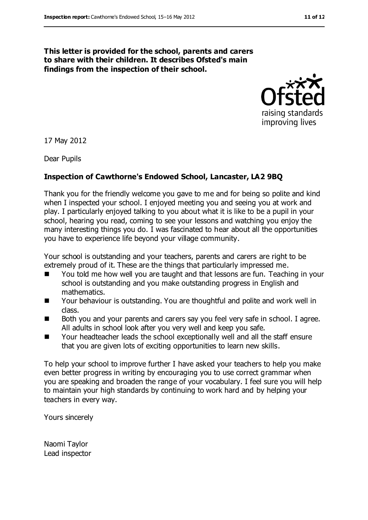#### **This letter is provided for the school, parents and carers to share with their children. It describes Ofsted's main findings from the inspection of their school.**



17 May 2012

Dear Pupils

#### **Inspection of Cawthorne's Endowed School, Lancaster, LA2 9BQ**

Thank you for the friendly welcome you gave to me and for being so polite and kind when I inspected your school. I enjoyed meeting you and seeing you at work and play. I particularly enjoyed talking to you about what it is like to be a pupil in your school, hearing you read, coming to see your lessons and watching you enjoy the many interesting things you do. I was fascinated to hear about all the opportunities you have to experience life beyond your village community.

Your school is outstanding and your teachers, parents and carers are right to be extremely proud of it. These are the things that particularly impressed me.

- You told me how well you are taught and that lessons are fun. Teaching in your school is outstanding and you make outstanding progress in English and mathematics.
- Your behaviour is outstanding. You are thoughtful and polite and work well in class.
- Both you and your parents and carers say you feel very safe in school. I agree. All adults in school look after you very well and keep you safe.
- Your headteacher leads the school exceptionally well and all the staff ensure that you are given lots of exciting opportunities to learn new skills.

To help your school to improve further I have asked your teachers to help you make even better progress in writing by encouraging you to use correct grammar when you are speaking and broaden the range of your vocabulary. I feel sure you will help to maintain your high standards by continuing to work hard and by helping your teachers in every way.

Yours sincerely

Naomi Taylor Lead inspector